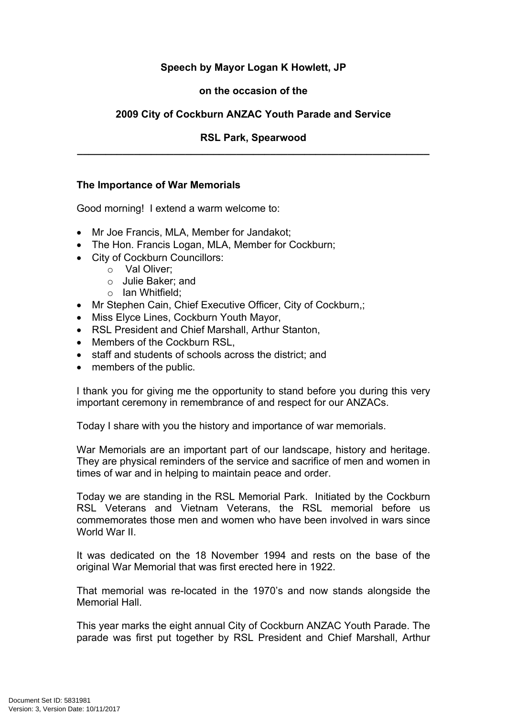# **Speech by Mayor Logan K Howlett, JP**

## **on the occasion of the**

## **2009 City of Cockburn ANZAC Youth Parade and Service**

## **RSL Park, Spearwood \_\_\_\_\_\_\_\_\_\_\_\_\_\_\_\_\_\_\_\_\_\_\_\_\_\_\_\_\_\_\_\_\_\_\_\_\_\_\_\_\_\_\_\_\_\_\_\_\_\_\_\_\_\_\_\_\_\_\_\_\_\_**

#### **The Importance of War Memorials**

Good morning! I extend a warm welcome to:

- Mr Joe Francis, MLA, Member for Jandakot;
- The Hon. Francis Logan, MLA, Member for Cockburn;
- City of Cockburn Councillors:
	- o Val Oliver;
	- o Julie Baker; and
	- o Ian Whitfield;
- Mr Stephen Cain, Chief Executive Officer, City of Cockburn.:
- Miss Elyce Lines, Cockburn Youth Mayor,
- RSL President and Chief Marshall, Arthur Stanton,
- Members of the Cockburn RSL.
- staff and students of schools across the district: and
- members of the public.

I thank you for giving me the opportunity to stand before you during this very important ceremony in remembrance of and respect for our ANZACs.

Today I share with you the history and importance of war memorials.

War Memorials are an important part of our landscape, history and heritage. They are physical reminders of the service and sacrifice of men and women in times of war and in helping to maintain peace and order.

Today we are standing in the RSL Memorial Park. Initiated by the Cockburn RSL Veterans and Vietnam Veterans, the RSL memorial before us commemorates those men and women who have been involved in wars since World War II.

It was dedicated on the 18 November 1994 and rests on the base of the original War Memorial that was first erected here in 1922.

That memorial was re-located in the 1970's and now stands alongside the Memorial Hall.

This year marks the eight annual City of Cockburn ANZAC Youth Parade. The parade was first put together by RSL President and Chief Marshall, Arthur